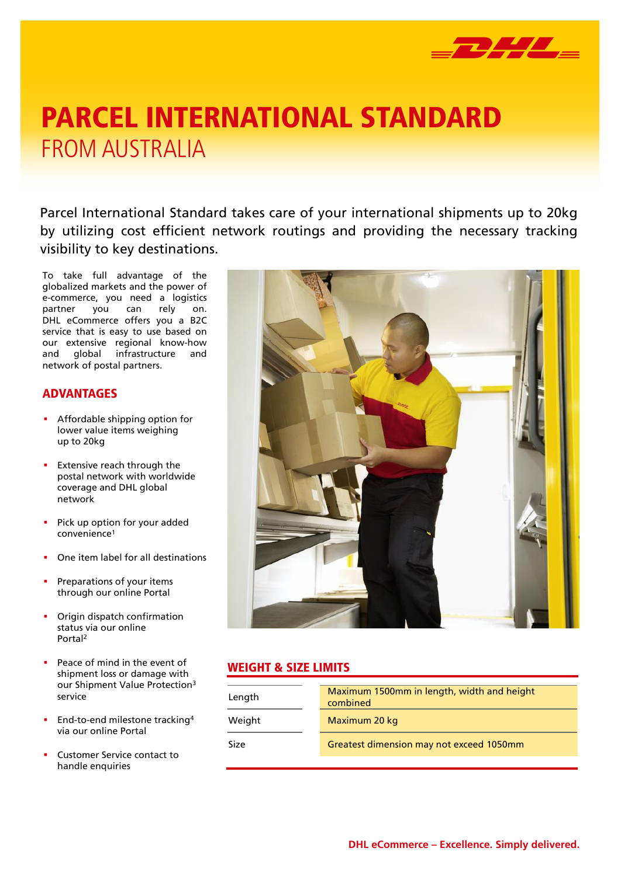

# FROM AUSTRALIA PARCEL INTERNATIONAL STANDARD

Parcel International Standard takes care of your international shipments up to 20kg by utilizing cost efficient network routings and providing the necessary tracking visibility to key destinations.

To take full advantage of the globalized markets and the power of e-commerce, you need a logistics partner you can rely on. DHL eCommerce offers you a B2C service that is easy to use based on our extensive regional know-how and global infrastructure and network of postal partners.

## ADVANTAGES

- **Affordable shipping option for** lower value items weighing up to 20kg
- **Extensive reach through the** postal network with worldwide coverage and DHL global network
- **Pick up option for your added** convenience<sup>1</sup>
- One item label for all destinations
- Preparations of your items through our online Portal
- Origin dispatch confirmation status via our online Portal<sup>2</sup>
- Peace of mind in the event of shipment loss or damage with our Shipment Value Protection<sup>3</sup> service
- **End-to-end milestone tracking4** via our online Portal
- Customer Service contact to handle enquiries



#### WEIGHT & SIZE LIMITS

| Length | Maximum 1500mm in length, width and height<br>combined |
|--------|--------------------------------------------------------|
| Weight | Maximum 20 kg                                          |
| Size   | Greatest dimension may not exceed 1050mm               |